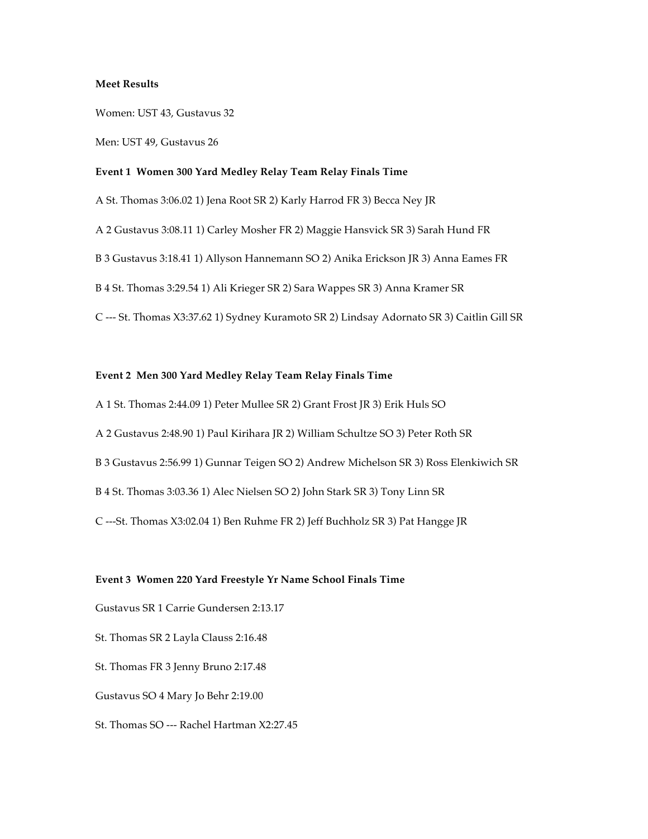### **Meet Results**

Women: UST 43, Gustavus 32

Men: UST 49, Gustavus 26

### **Event 1 Women 300 Yard Medley Relay Team Relay Finals Time**

A St. Thomas 3:06.02 1) Jena Root SR 2) Karly Harrod FR 3) Becca Ney JR

A 2 Gustavus 3:08.11 1) Carley Mosher FR 2) Maggie Hansvick SR 3) Sarah Hund FR

B 3 Gustavus 3:18.41 1) Allyson Hannemann SO 2) Anika Erickson JR 3) Anna Eames FR

B 4 St. Thomas 3:29.54 1) Ali Krieger SR 2) Sara Wappes SR 3) Anna Kramer SR

C --- St. Thomas X3:37.62 1) Sydney Kuramoto SR 2) Lindsay Adornato SR 3) Caitlin Gill SR

### **Event 2 Men 300 Yard Medley Relay Team Relay Finals Time**

A 1 St. Thomas 2:44.09 1) Peter Mullee SR 2) Grant Frost JR 3) Erik Huls SO

A 2 Gustavus 2:48.90 1) Paul Kirihara JR 2) William Schultze SO 3) Peter Roth SR

B 3 Gustavus 2:56.99 1) Gunnar Teigen SO 2) Andrew Michelson SR 3) Ross Elenkiwich SR

B 4 St. Thomas 3:03.36 1) Alec Nielsen SO 2) John Stark SR 3) Tony Linn SR

C ---St. Thomas X3:02.04 1) Ben Ruhme FR 2) Jeff Buchholz SR 3) Pat Hangge JR

### **Event 3 Women 220 Yard Freestyle Yr Name School Finals Time**

Gustavus SR 1 Carrie Gundersen 2:13.17

St. Thomas SR 2 Layla Clauss 2:16.48

St. Thomas FR 3 Jenny Bruno 2:17.48

Gustavus SO 4 Mary Jo Behr 2:19.00

St. Thomas SO --- Rachel Hartman X2:27.45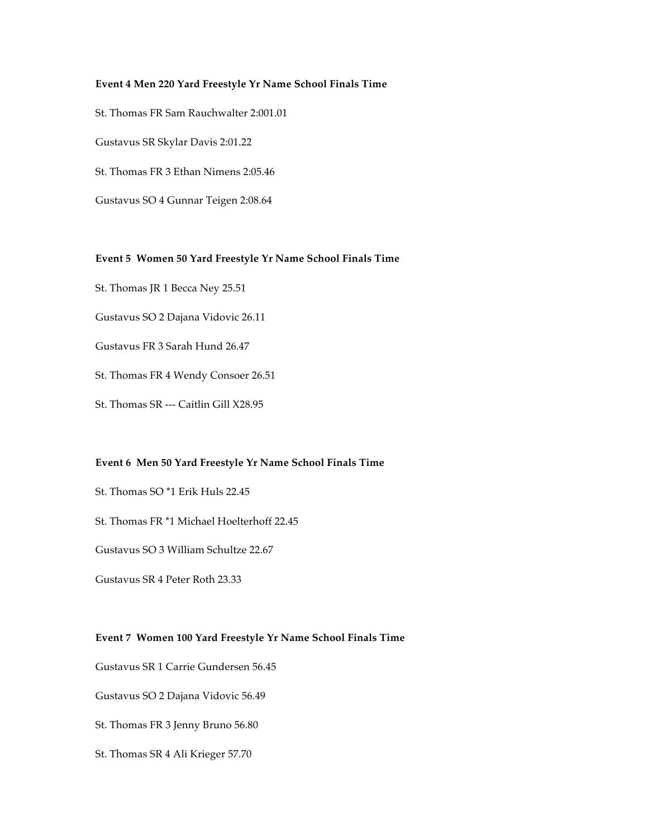## **Event 4 Men 220 Yard Freestyle Yr Name School Finals Time**

St. Thomas FR Sam Rauchwalter 2:001.01

Gustavus SR Skylar Davis 2:01.22

St. Thomas FR 3 Ethan Nimens 2:05.46

Gustavus SO 4 Gunnar Teigen 2:08.64

# **Event 5 Women 50 Yard Freestyle Yr Name School Finals Time**

St. Thomas JR 1 Becca Ney 25.51

Gustavus SO 2 Dajana Vidovic 26.11

- Gustavus FR 3 Sarah Hund 26.47
- St. Thomas FR 4 Wendy Consoer 26.51
- St. Thomas SR --- Caitlin Gill X28.95

### **Event 6 Men 50 Yard Freestyle Yr Name School Finals Time**

- St. Thomas SO \*1 Erik Huls 22.45
- St. Thomas FR \*1 Michael Hoelterhoff 22.45
- Gustavus SO 3 William Schultze 22.67

Gustavus SR 4 Peter Roth 23.33

### **Event 7 Women 100 Yard Freestyle Yr Name School Finals Time**

Gustavus SR 1 Carrie Gundersen 56.45

Gustavus SO 2 Dajana Vidovic 56.49

- St. Thomas FR 3 Jenny Bruno 56.80
- St. Thomas SR 4 Ali Krieger 57.70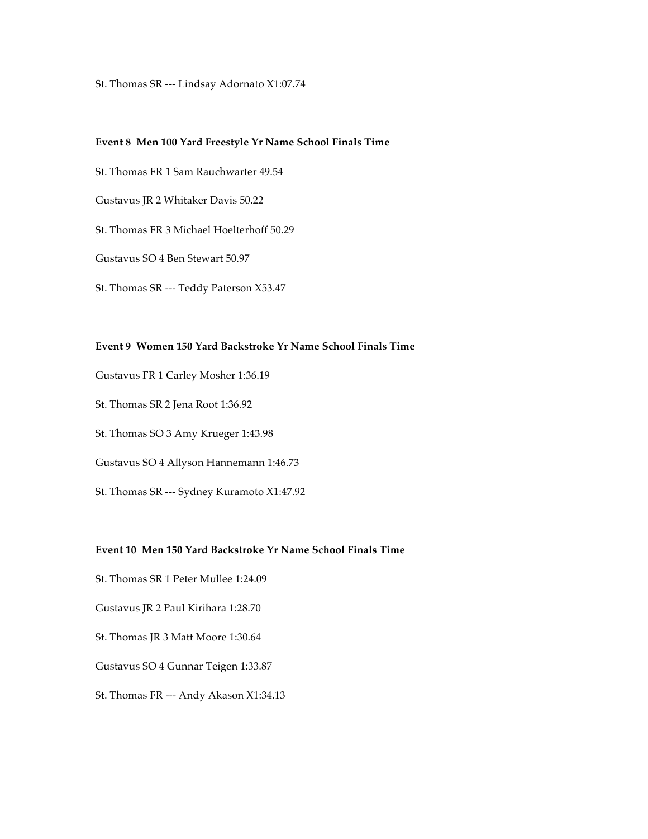St. Thomas SR --- Lindsay Adornato X1:07.74

### **Event 8 Men 100 Yard Freestyle Yr Name School Finals Time**

- St. Thomas FR 1 Sam Rauchwarter 49.54
- Gustavus JR 2 Whitaker Davis 50.22
- St. Thomas FR 3 Michael Hoelterhoff 50.29
- Gustavus SO 4 Ben Stewart 50.97
- St. Thomas SR --- Teddy Paterson X53.47

### **Event 9 Women 150 Yard Backstroke Yr Name School Finals Time**

- Gustavus FR 1 Carley Mosher 1:36.19
- St. Thomas SR 2 Jena Root 1:36.92
- St. Thomas SO 3 Amy Krueger 1:43.98
- Gustavus SO 4 Allyson Hannemann 1:46.73
- St. Thomas SR --- Sydney Kuramoto X1:47.92

### **Event 10 Men 150 Yard Backstroke Yr Name School Finals Time**

- St. Thomas SR 1 Peter Mullee 1:24.09
- Gustavus JR 2 Paul Kirihara 1:28.70
- St. Thomas JR 3 Matt Moore 1:30.64
- Gustavus SO 4 Gunnar Teigen 1:33.87
- St. Thomas FR --- Andy Akason X1:34.13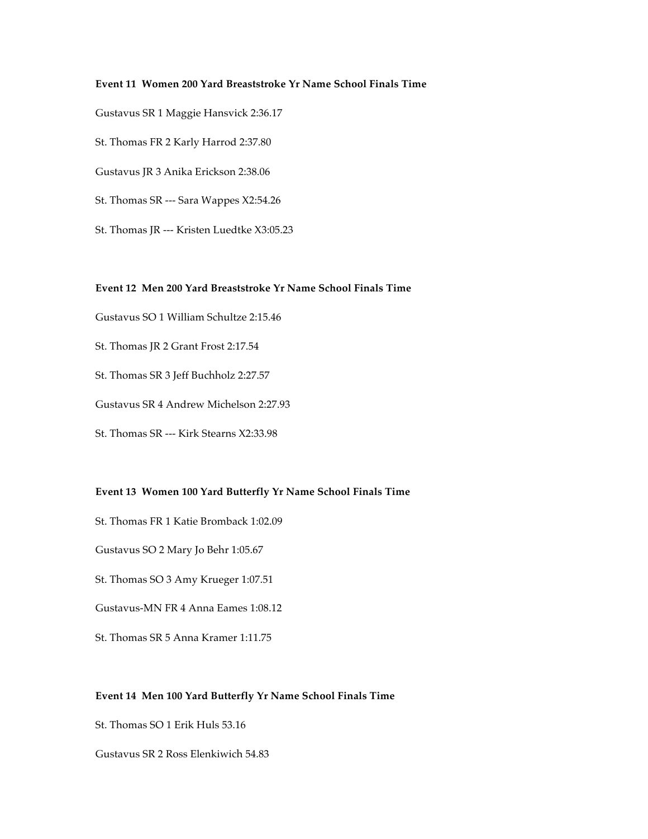### **Event 11 Women 200 Yard Breaststroke Yr Name School Finals Time**

Gustavus SR 1 Maggie Hansvick 2:36.17

St. Thomas FR 2 Karly Harrod 2:37.80

Gustavus JR 3 Anika Erickson 2:38.06

St. Thomas SR --- Sara Wappes X2:54.26

St. Thomas JR --- Kristen Luedtke X3:05.23

### **Event 12 Men 200 Yard Breaststroke Yr Name School Finals Time**

Gustavus SO 1 William Schultze 2:15.46

St. Thomas JR 2 Grant Frost 2:17.54

St. Thomas SR 3 Jeff Buchholz 2:27.57

Gustavus SR 4 Andrew Michelson 2:27.93

St. Thomas SR --- Kirk Stearns X2:33.98

### **Event 13 Women 100 Yard Butterfly Yr Name School Finals Time**

St. Thomas FR 1 Katie Bromback 1:02.09

Gustavus SO 2 Mary Jo Behr 1:05.67

St. Thomas SO 3 Amy Krueger 1:07.51

Gustavus-MN FR 4 Anna Eames 1:08.12

St. Thomas SR 5 Anna Kramer 1:11.75

### **Event 14 Men 100 Yard Butterfly Yr Name School Finals Time**

St. Thomas SO 1 Erik Huls 53.16

Gustavus SR 2 Ross Elenkiwich 54.83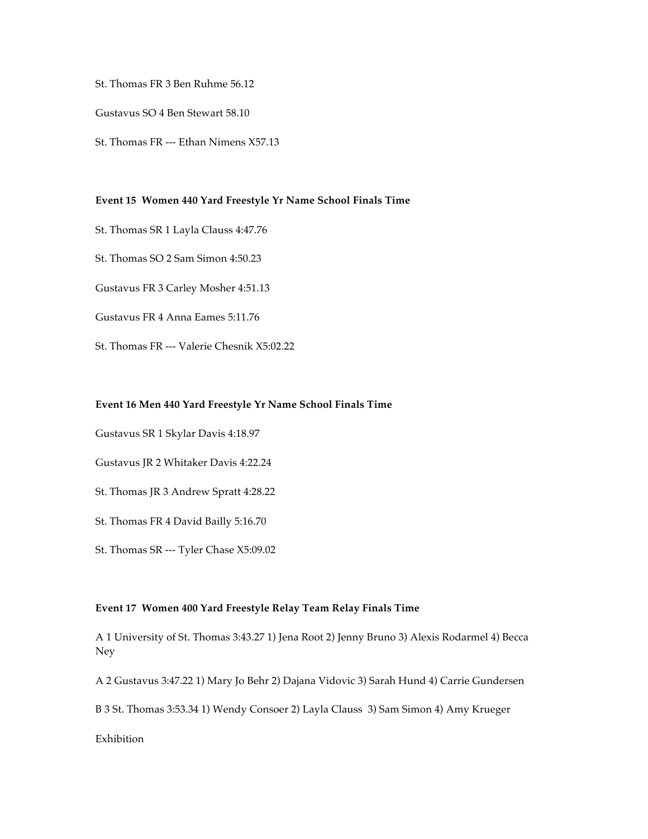St. Thomas FR 3 Ben Ruhme 56.12

Gustavus SO 4 Ben Stewart 58.10

St. Thomas FR --- Ethan Nimens X57.13

### **Event 15 Women 440 Yard Freestyle Yr Name School Finals Time**

St. Thomas SR 1 Layla Clauss 4:47.76

St. Thomas SO 2 Sam Simon 4:50.23

Gustavus FR 3 Carley Mosher 4:51.13

Gustavus FR 4 Anna Eames 5:11.76

St. Thomas FR --- Valerie Chesnik X5:02.22

#### **Event 16 Men 440 Yard Freestyle Yr Name School Finals Time**

Gustavus SR 1 Skylar Davis 4:18.97

Gustavus JR 2 Whitaker Davis 4:22.24

St. Thomas JR 3 Andrew Spratt 4:28.22

St. Thomas FR 4 David Bailly 5:16.70

St. Thomas SR --- Tyler Chase X5:09.02

### **Event 17 Women 400 Yard Freestyle Relay Team Relay Finals Time**

A 1 University of St. Thomas 3:43.27 1) Jena Root 2) Jenny Bruno 3) Alexis Rodarmel 4) Becca Ney

A 2 Gustavus 3:47.22 1) Mary Jo Behr 2) Dajana Vidovic 3) Sarah Hund 4) Carrie Gundersen

B 3 St. Thomas 3:53.34 1) Wendy Consoer 2) Layla Clauss 3) Sam Simon 4) Amy Krueger

Exhibition